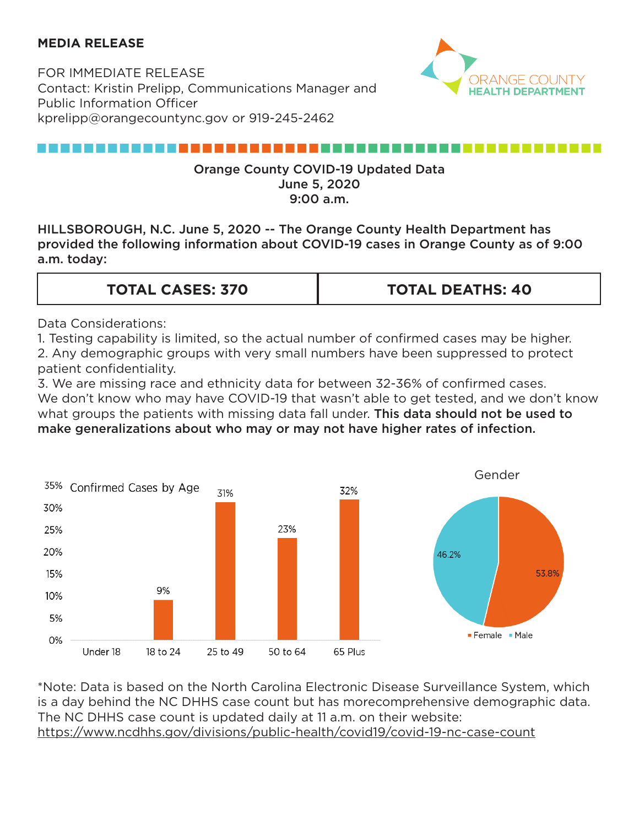### **MEDIA RELEASE**

FOR IMMEDIATE RELEASE Contact: Kristin Prelipp, Communications Manager and Public Information Officer kprelipp@orangecountync.gov or 919-245-2462



# ,,,,,,,,,,,,,,,,,,,,,,,,,,,

#### Orange County COVID-19 Updated Data June 5, 2020 9:00 a.m.

HILLSBOROUGH, N.C. June 5, 2020 -- The Orange County Health Department has provided the following information about COVID-19 cases in Orange County as of 9:00 a.m. today:

| <b>TOTAL DEATHS: 40</b><br><b>TOTAL CASES: 370</b> |
|----------------------------------------------------|
|----------------------------------------------------|

Data Considerations:

1. Testing capability is limited, so the actual number of confirmed cases may be higher. 2. Any demographic groups with very small numbers have been suppressed to protect patient confidentiality.

3. We are missing race and ethnicity data for between 32-36% of confirmed cases. We don't know who may have COVID-19 that wasn't able to get tested, and we don't know what groups the patients with missing data fall under. This data should not be used to make generalizations about who may or may not have higher rates of infection.



\*Note: Data is based on the North Carolina Electronic Disease Surveillance System, which is a day behind the NC DHHS case count but has morecomprehensive demographic data. The NC DHHS case count is updated daily at 11 a.m. on their website: <https://www.ncdhhs.gov/divisions/public-health/covid19/covid-19-nc-case-count>